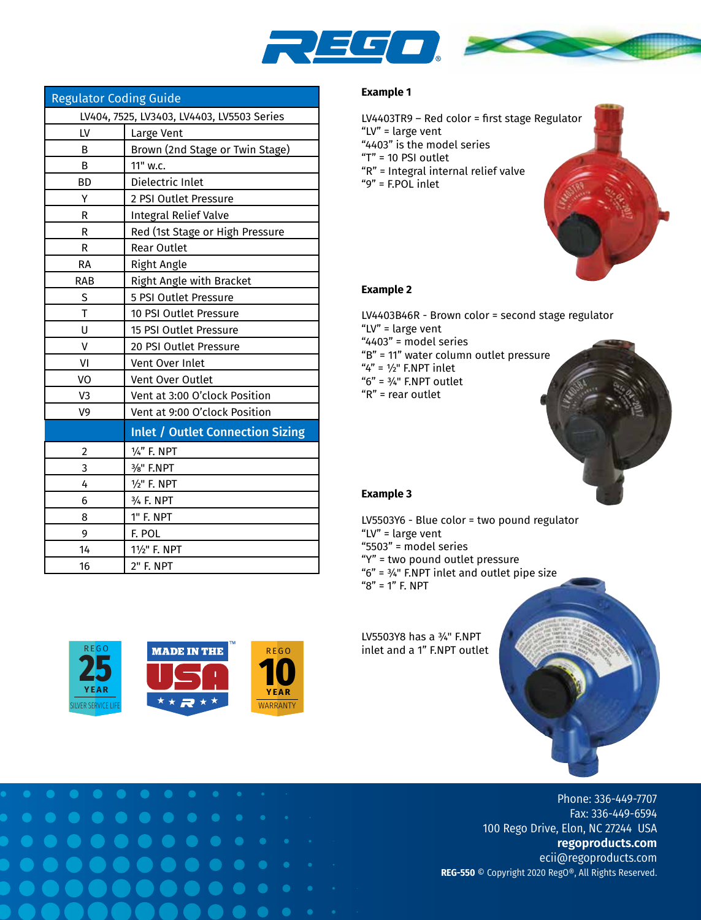

| <b>Regulator Coding Guide</b>              |                                         |  |  |  |  |
|--------------------------------------------|-----------------------------------------|--|--|--|--|
| LV404, 7525, LV3403, LV4403, LV5503 Series |                                         |  |  |  |  |
| LV                                         | Large Vent                              |  |  |  |  |
| B                                          | Brown (2nd Stage or Twin Stage)         |  |  |  |  |
| B                                          | 11" w.c.                                |  |  |  |  |
| BD                                         | Dielectric Inlet                        |  |  |  |  |
| Υ                                          | 2 PSI Outlet Pressure                   |  |  |  |  |
| R                                          | <b>Integral Relief Valve</b>            |  |  |  |  |
| R                                          | Red (1st Stage or High Pressure         |  |  |  |  |
| R                                          | <b>Rear Outlet</b>                      |  |  |  |  |
| RA                                         | Right Angle                             |  |  |  |  |
| <b>RAB</b>                                 | Right Angle with Bracket                |  |  |  |  |
| S                                          | 5 PSI Outlet Pressure                   |  |  |  |  |
| T                                          | 10 PSI Outlet Pressure                  |  |  |  |  |
| U                                          | 15 PSI Outlet Pressure                  |  |  |  |  |
| v                                          | 20 PSI Outlet Pressure                  |  |  |  |  |
| VI                                         | Vent Over Inlet                         |  |  |  |  |
| VO                                         | Vent Over Outlet                        |  |  |  |  |
| V <sub>3</sub>                             | Vent at 3:00 O'clock Position           |  |  |  |  |
| V9                                         | Vent at 9:00 O'clock Position           |  |  |  |  |
|                                            | <b>Inlet / Outlet Connection Sizing</b> |  |  |  |  |
| 2                                          | 1/4" F. NPT                             |  |  |  |  |
| 3                                          | 3/ <sub>8</sub> " F.NPT                 |  |  |  |  |
| 4                                          | 1/ <sub>2</sub> " F. NPT                |  |  |  |  |
| 6                                          | 3/4 F. NPT                              |  |  |  |  |
| 8                                          | 1" F. NPT                               |  |  |  |  |
| 9                                          | F. POL                                  |  |  |  |  |
| 14                                         | 11/2" F. NPT                            |  |  |  |  |
| 16                                         | 2" F. NPT                               |  |  |  |  |

## **Example 1**

LV4403TR9 – Red color = first stage Regulator "LV" = large vent "4403" is the model series "T" = 10 PSI outlet "R" = Integral internal relief valve "9" = F.POL inlet

## **Example 2**

LV4403B46R - Brown color = second stage regulator "LV" = large vent "4403" = model series "B" = 11" water column outlet pressure  $4" = 1/2"$  F.NPT inlet "6" = ¾" F.NPT outlet "R" = rear outlet



## **Example 3**

 $"8" = 1"$  F. NPT

LV5503Y6 - Blue color = two pound regulator "LV" = large vent "5503" = model series "Y" = two pound outlet pressure "6" = ¾" F.NPT inlet and outlet pipe size

LV5503Y8 has a ¾" F.NPT

inlet and a 1" F.NPT outlet



Phone: 336-449-7707 Fax: 336-449-6594 100 Rego Drive, Elon, NC 27244 USA **regoproducts.com** ecii@regoproducts.com **REG-550** © Copyright 2020 RegO®, All Rights Reserved.